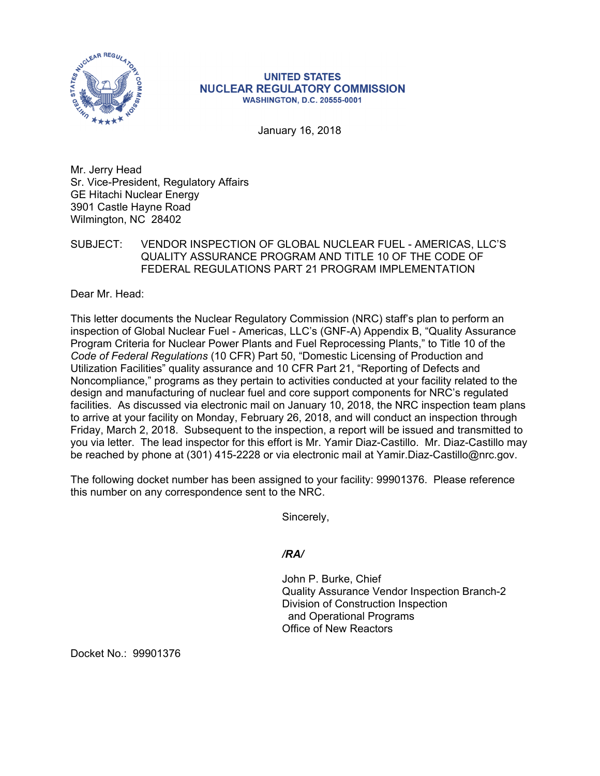

## **UNITED STATES NUCLEAR REGULATORY COMMISSION WASHINGTON, D.C. 20555-0001**

January 16, 2018

Mr. Jerry Head Sr. Vice-President, Regulatory Affairs GE Hitachi Nuclear Energy 3901 Castle Hayne Road Wilmington, NC 28402

## SUBJECT: VENDOR INSPECTION OF GLOBAL NUCLEAR FUEL - AMERICAS, LLC'S QUALITY ASSURANCE PROGRAM AND TITLE 10 OF THE CODE OF FEDERAL REGULATIONS PART 21 PROGRAM IMPLEMENTATION

Dear Mr. Head:

This letter documents the Nuclear Regulatory Commission (NRC) staff's plan to perform an inspection of Global Nuclear Fuel - Americas, LLC's (GNF-A) Appendix B, "Quality Assurance Program Criteria for Nuclear Power Plants and Fuel Reprocessing Plants," to Title 10 of the *Code of Federal Regulations* (10 CFR) Part 50, "Domestic Licensing of Production and Utilization Facilities" quality assurance and 10 CFR Part 21, "Reporting of Defects and Noncompliance," programs as they pertain to activities conducted at your facility related to the design and manufacturing of nuclear fuel and core support components for NRC's regulated facilities. As discussed via electronic mail on January 10, 2018, the NRC inspection team plans to arrive at your facility on Monday, February 26, 2018, and will conduct an inspection through Friday, March 2, 2018. Subsequent to the inspection, a report will be issued and transmitted to you via letter. The lead inspector for this effort is Mr. Yamir Diaz-Castillo. Mr. Diaz-Castillo may be reached by phone at (301) 415-2228 or via electronic mail at Yamir.Diaz-Castillo@nrc.gov.

The following docket number has been assigned to your facility: 99901376. Please reference this number on any correspondence sent to the NRC.

Sincerely,

*/RA/* 

John P. Burke, Chief Quality Assurance Vendor Inspection Branch-2 Division of Construction Inspection and Operational Programs Office of New Reactors

Docket No.: 99901376